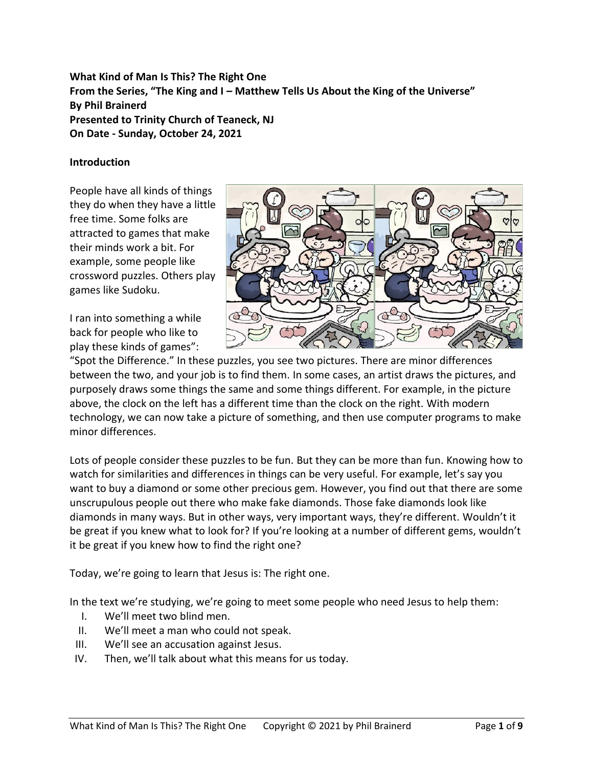**What Kind of Man Is This? The Right One From the Series, "The King and I – Matthew Tells Us About the King of the Universe" By Phil Brainerd Presented to Trinity Church of Teaneck, NJ On Date - Sunday, October 24, 2021**

## **Introduction**

People have all kinds of things they do when they have a little free time. Some folks are attracted to games that make their minds work a bit. For example, some people like crossword puzzles. Others play games like Sudoku.

I ran into something a while back for people who like to play these kinds of games":



"Spot the Difference." In these puzzles, you see two pictures. There are minor differences between the two, and your job is to find them. In some cases, an artist draws the pictures, and purposely draws some things the same and some things different. For example, in the picture above, the clock on the left has a different time than the clock on the right. With modern technology, we can now take a picture of something, and then use computer programs to make minor differences.

Lots of people consider these puzzles to be fun. But they can be more than fun. Knowing how to watch for similarities and differences in things can be very useful. For example, let's say you want to buy a diamond or some other precious gem. However, you find out that there are some unscrupulous people out there who make fake diamonds. Those fake diamonds look like diamonds in many ways. But in other ways, very important ways, they're different. Wouldn't it be great if you knew what to look for? If you're looking at a number of different gems, wouldn't it be great if you knew how to find the right one?

Today, we're going to learn that Jesus is: The right one.

In the text we're studying, we're going to meet some people who need Jesus to help them:

- I. We'll meet two blind men.
- II. We'll meet a man who could not speak.
- III. We'll see an accusation against Jesus.
- IV. Then, we'll talk about what this means for us today.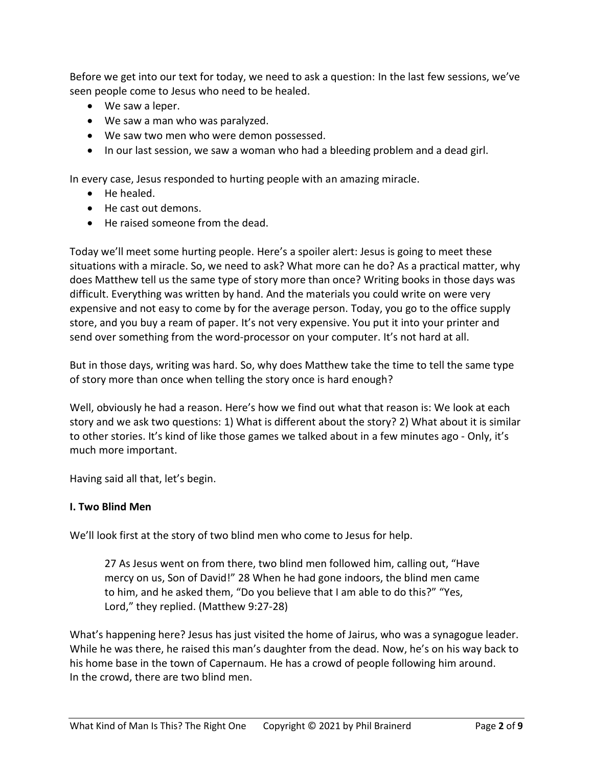Before we get into our text for today, we need to ask a question: In the last few sessions, we've seen people come to Jesus who need to be healed.

- We saw a leper.
- We saw a man who was paralyzed.
- We saw two men who were demon possessed.
- In our last session, we saw a woman who had a bleeding problem and a dead girl.

In every case, Jesus responded to hurting people with an amazing miracle.

- He healed.
- He cast out demons.
- He raised someone from the dead.

Today we'll meet some hurting people. Here's a spoiler alert: Jesus is going to meet these situations with a miracle. So, we need to ask? What more can he do? As a practical matter, why does Matthew tell us the same type of story more than once? Writing books in those days was difficult. Everything was written by hand. And the materials you could write on were very expensive and not easy to come by for the average person. Today, you go to the office supply store, and you buy a ream of paper. It's not very expensive. You put it into your printer and send over something from the word-processor on your computer. It's not hard at all.

But in those days, writing was hard. So, why does Matthew take the time to tell the same type of story more than once when telling the story once is hard enough?

Well, obviously he had a reason. Here's how we find out what that reason is: We look at each story and we ask two questions: 1) What is different about the story? 2) What about it is similar to other stories. It's kind of like those games we talked about in a few minutes ago - Only, it's much more important.

Having said all that, let's begin.

#### **I. Two Blind Men**

We'll look first at the story of two blind men who come to Jesus for help.

27 As Jesus went on from there, two blind men followed him, calling out, "Have mercy on us, Son of David!" 28 When he had gone indoors, the blind men came to him, and he asked them, "Do you believe that I am able to do this?" "Yes, Lord," they replied. (Matthew 9:27-28)

What's happening here? Jesus has just visited the home of Jairus, who was a synagogue leader. While he was there, he raised this man's daughter from the dead. Now, he's on his way back to his home base in the town of Capernaum. He has a crowd of people following him around. In the crowd, there are two blind men.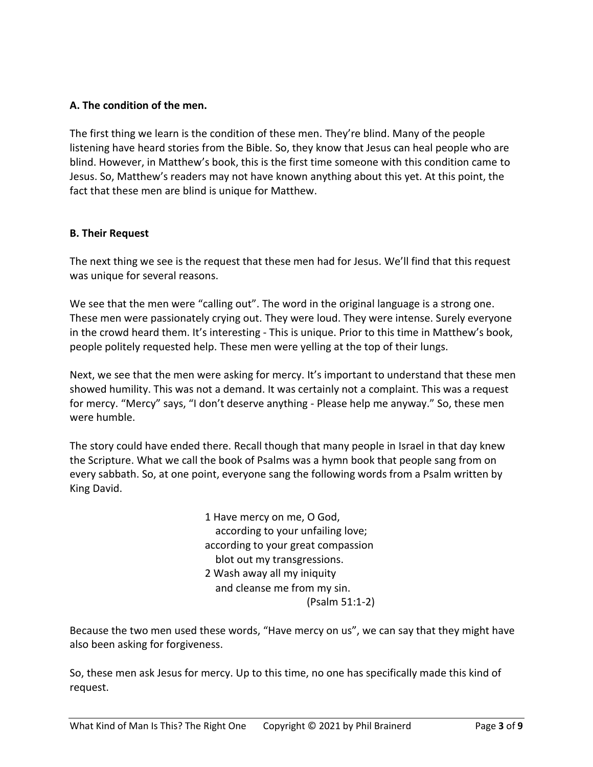## **A. The condition of the men.**

The first thing we learn is the condition of these men. They're blind. Many of the people listening have heard stories from the Bible. So, they know that Jesus can heal people who are blind. However, in Matthew's book, this is the first time someone with this condition came to Jesus. So, Matthew's readers may not have known anything about this yet. At this point, the fact that these men are blind is unique for Matthew.

## **B. Their Request**

The next thing we see is the request that these men had for Jesus. We'll find that this request was unique for several reasons.

We see that the men were "calling out". The word in the original language is a strong one. These men were passionately crying out. They were loud. They were intense. Surely everyone in the crowd heard them. It's interesting - This is unique. Prior to this time in Matthew's book, people politely requested help. These men were yelling at the top of their lungs.

Next, we see that the men were asking for mercy. It's important to understand that these men showed humility. This was not a demand. It was certainly not a complaint. This was a request for mercy. "Mercy" says, "I don't deserve anything - Please help me anyway." So, these men were humble.

The story could have ended there. Recall though that many people in Israel in that day knew the Scripture. What we call the book of Psalms was a hymn book that people sang from on every sabbath. So, at one point, everyone sang the following words from a Psalm written by King David.

> 1 Have mercy on me, O God, according to your unfailing love; according to your great compassion blot out my transgressions. 2 Wash away all my iniquity and cleanse me from my sin. (Psalm 51:1-2)

Because the two men used these words, "Have mercy on us", we can say that they might have also been asking for forgiveness.

So, these men ask Jesus for mercy. Up to this time, no one has specifically made this kind of request.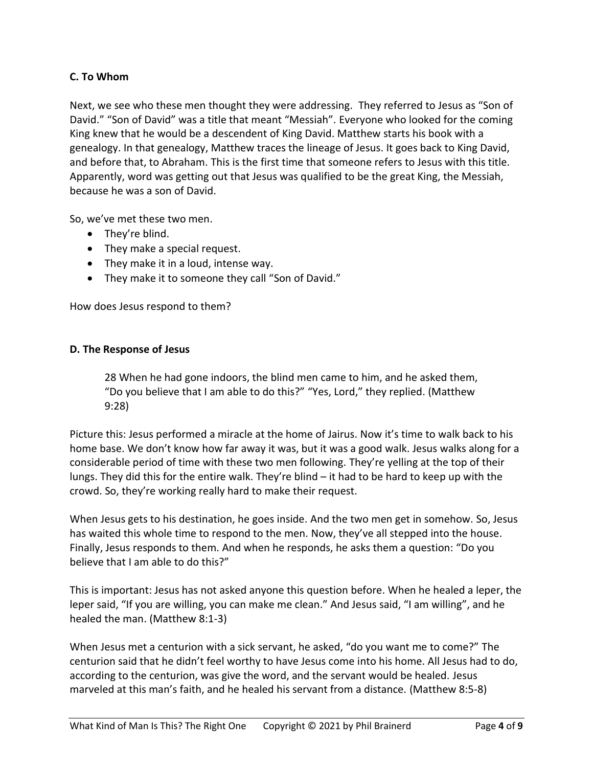# **C. To Whom**

Next, we see who these men thought they were addressing. They referred to Jesus as "Son of David." "Son of David" was a title that meant "Messiah". Everyone who looked for the coming King knew that he would be a descendent of King David. Matthew starts his book with a genealogy. In that genealogy, Matthew traces the lineage of Jesus. It goes back to King David, and before that, to Abraham. This is the first time that someone refers to Jesus with this title. Apparently, word was getting out that Jesus was qualified to be the great King, the Messiah, because he was a son of David.

So, we've met these two men.

- They're blind.
- They make a special request.
- They make it in a loud, intense way.
- They make it to someone they call "Son of David."

How does Jesus respond to them?

## **D. The Response of Jesus**

28 When he had gone indoors, the blind men came to him, and he asked them, "Do you believe that I am able to do this?" "Yes, Lord," they replied. (Matthew 9:28)

Picture this: Jesus performed a miracle at the home of Jairus. Now it's time to walk back to his home base. We don't know how far away it was, but it was a good walk. Jesus walks along for a considerable period of time with these two men following. They're yelling at the top of their lungs. They did this for the entire walk. They're blind – it had to be hard to keep up with the crowd. So, they're working really hard to make their request.

When Jesus gets to his destination, he goes inside. And the two men get in somehow. So, Jesus has waited this whole time to respond to the men. Now, they've all stepped into the house. Finally, Jesus responds to them. And when he responds, he asks them a question: "Do you believe that I am able to do this?"

This is important: Jesus has not asked anyone this question before. When he healed a leper, the leper said, "If you are willing, you can make me clean." And Jesus said, "I am willing", and he healed the man. (Matthew 8:1-3)

When Jesus met a centurion with a sick servant, he asked, "do you want me to come?" The centurion said that he didn't feel worthy to have Jesus come into his home. All Jesus had to do, according to the centurion, was give the word, and the servant would be healed. Jesus marveled at this man's faith, and he healed his servant from a distance. (Matthew 8:5-8)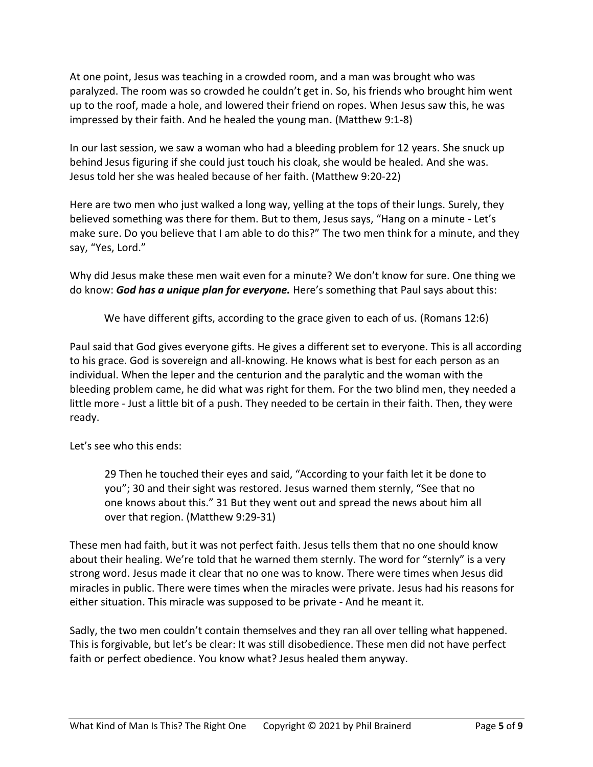At one point, Jesus was teaching in a crowded room, and a man was brought who was paralyzed. The room was so crowded he couldn't get in. So, his friends who brought him went up to the roof, made a hole, and lowered their friend on ropes. When Jesus saw this, he was impressed by their faith. And he healed the young man. (Matthew 9:1-8)

In our last session, we saw a woman who had a bleeding problem for 12 years. She snuck up behind Jesus figuring if she could just touch his cloak, she would be healed. And she was. Jesus told her she was healed because of her faith. (Matthew 9:20-22)

Here are two men who just walked a long way, yelling at the tops of their lungs. Surely, they believed something was there for them. But to them, Jesus says, "Hang on a minute - Let's make sure. Do you believe that I am able to do this?" The two men think for a minute, and they say, "Yes, Lord."

Why did Jesus make these men wait even for a minute? We don't know for sure. One thing we do know: *God has a unique plan for everyone.* Here's something that Paul says about this:

We have different gifts, according to the grace given to each of us. (Romans 12:6)

Paul said that God gives everyone gifts. He gives a different set to everyone. This is all according to his grace. God is sovereign and all-knowing. He knows what is best for each person as an individual. When the leper and the centurion and the paralytic and the woman with the bleeding problem came, he did what was right for them. For the two blind men, they needed a little more - Just a little bit of a push. They needed to be certain in their faith. Then, they were ready.

Let's see who this ends:

29 Then he touched their eyes and said, "According to your faith let it be done to you"; 30 and their sight was restored. Jesus warned them sternly, "See that no one knows about this." 31 But they went out and spread the news about him all over that region. (Matthew 9:29-31)

These men had faith, but it was not perfect faith. Jesus tells them that no one should know about their healing. We're told that he warned them sternly. The word for "sternly" is a very strong word. Jesus made it clear that no one was to know. There were times when Jesus did miracles in public. There were times when the miracles were private. Jesus had his reasons for either situation. This miracle was supposed to be private - And he meant it.

Sadly, the two men couldn't contain themselves and they ran all over telling what happened. This is forgivable, but let's be clear: It was still disobedience. These men did not have perfect faith or perfect obedience. You know what? Jesus healed them anyway.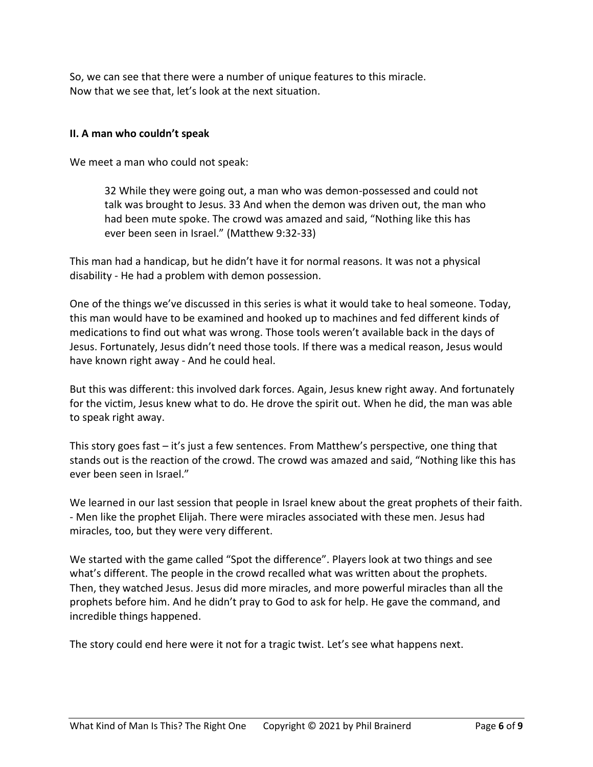So, we can see that there were a number of unique features to this miracle. Now that we see that, let's look at the next situation.

## **II. A man who couldn't speak**

We meet a man who could not speak:

32 While they were going out, a man who was demon-possessed and could not talk was brought to Jesus. 33 And when the demon was driven out, the man who had been mute spoke. The crowd was amazed and said, "Nothing like this has ever been seen in Israel." (Matthew 9:32-33)

This man had a handicap, but he didn't have it for normal reasons. It was not a physical disability - He had a problem with demon possession.

One of the things we've discussed in this series is what it would take to heal someone. Today, this man would have to be examined and hooked up to machines and fed different kinds of medications to find out what was wrong. Those tools weren't available back in the days of Jesus. Fortunately, Jesus didn't need those tools. If there was a medical reason, Jesus would have known right away - And he could heal.

But this was different: this involved dark forces. Again, Jesus knew right away. And fortunately for the victim, Jesus knew what to do. He drove the spirit out. When he did, the man was able to speak right away.

This story goes fast – it's just a few sentences. From Matthew's perspective, one thing that stands out is the reaction of the crowd. The crowd was amazed and said, "Nothing like this has ever been seen in Israel."

We learned in our last session that people in Israel knew about the great prophets of their faith. - Men like the prophet Elijah. There were miracles associated with these men. Jesus had miracles, too, but they were very different.

We started with the game called "Spot the difference". Players look at two things and see what's different. The people in the crowd recalled what was written about the prophets. Then, they watched Jesus. Jesus did more miracles, and more powerful miracles than all the prophets before him. And he didn't pray to God to ask for help. He gave the command, and incredible things happened.

The story could end here were it not for a tragic twist. Let's see what happens next.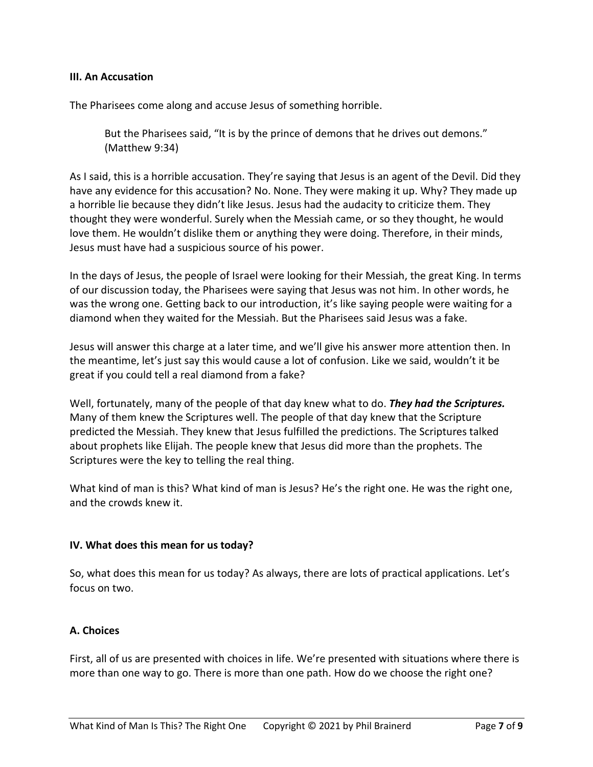#### **III. An Accusation**

The Pharisees come along and accuse Jesus of something horrible.

But the Pharisees said, "It is by the prince of demons that he drives out demons." (Matthew 9:34)

As I said, this is a horrible accusation. They're saying that Jesus is an agent of the Devil. Did they have any evidence for this accusation? No. None. They were making it up. Why? They made up a horrible lie because they didn't like Jesus. Jesus had the audacity to criticize them. They thought they were wonderful. Surely when the Messiah came, or so they thought, he would love them. He wouldn't dislike them or anything they were doing. Therefore, in their minds, Jesus must have had a suspicious source of his power.

In the days of Jesus, the people of Israel were looking for their Messiah, the great King. In terms of our discussion today, the Pharisees were saying that Jesus was not him. In other words, he was the wrong one. Getting back to our introduction, it's like saying people were waiting for a diamond when they waited for the Messiah. But the Pharisees said Jesus was a fake.

Jesus will answer this charge at a later time, and we'll give his answer more attention then. In the meantime, let's just say this would cause a lot of confusion. Like we said, wouldn't it be great if you could tell a real diamond from a fake?

Well, fortunately, many of the people of that day knew what to do. *They had the Scriptures.* Many of them knew the Scriptures well. The people of that day knew that the Scripture predicted the Messiah. They knew that Jesus fulfilled the predictions. The Scriptures talked about prophets like Elijah. The people knew that Jesus did more than the prophets. The Scriptures were the key to telling the real thing.

What kind of man is this? What kind of man is Jesus? He's the right one. He was the right one, and the crowds knew it.

#### **IV. What does this mean for us today?**

So, what does this mean for us today? As always, there are lots of practical applications. Let's focus on two.

#### **A. Choices**

First, all of us are presented with choices in life. We're presented with situations where there is more than one way to go. There is more than one path. How do we choose the right one?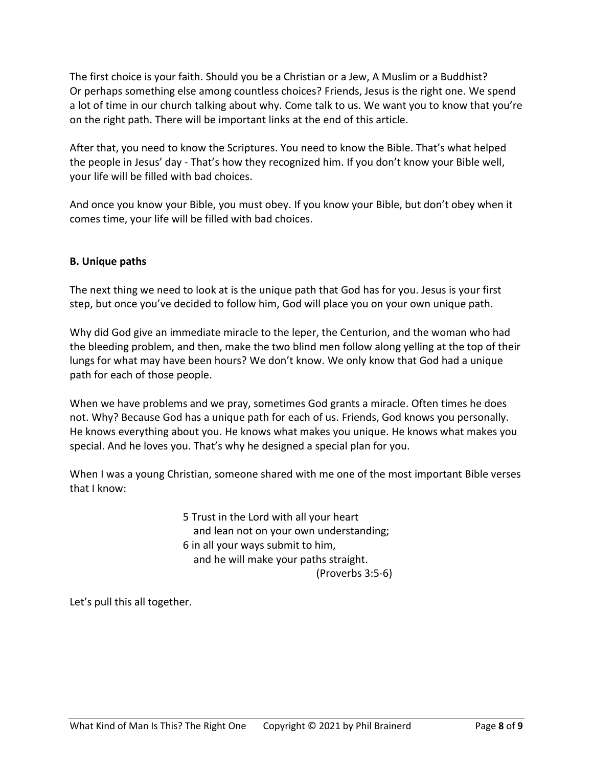The first choice is your faith. Should you be a Christian or a Jew, A Muslim or a Buddhist? Or perhaps something else among countless choices? Friends, Jesus is the right one. We spend a lot of time in our church talking about why. Come talk to us. We want you to know that you're on the right path. There will be important links at the end of this article.

After that, you need to know the Scriptures. You need to know the Bible. That's what helped the people in Jesus' day - That's how they recognized him. If you don't know your Bible well, your life will be filled with bad choices.

And once you know your Bible, you must obey. If you know your Bible, but don't obey when it comes time, your life will be filled with bad choices.

# **B. Unique paths**

The next thing we need to look at is the unique path that God has for you. Jesus is your first step, but once you've decided to follow him, God will place you on your own unique path.

Why did God give an immediate miracle to the leper, the Centurion, and the woman who had the bleeding problem, and then, make the two blind men follow along yelling at the top of their lungs for what may have been hours? We don't know. We only know that God had a unique path for each of those people.

When we have problems and we pray, sometimes God grants a miracle. Often times he does not. Why? Because God has a unique path for each of us. Friends, God knows you personally. He knows everything about you. He knows what makes you unique. He knows what makes you special. And he loves you. That's why he designed a special plan for you.

When I was a young Christian, someone shared with me one of the most important Bible verses that I know:

> 5 Trust in the Lord with all your heart and lean not on your own understanding; 6 in all your ways submit to him, and he will make your paths straight. (Proverbs 3:5-6)

Let's pull this all together.